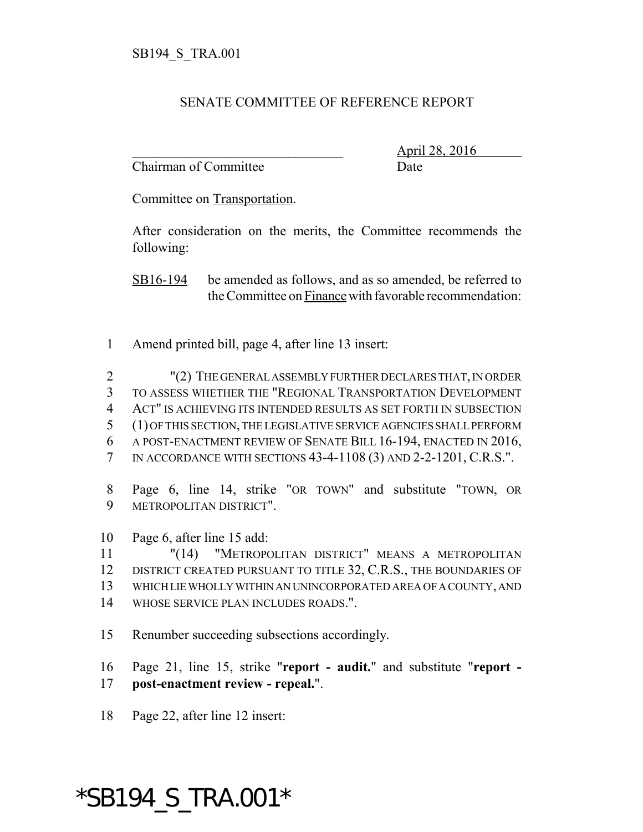## SENATE COMMITTEE OF REFERENCE REPORT

Chairman of Committee Date

\_\_\_\_\_\_\_\_\_\_\_\_\_\_\_\_\_\_\_\_\_\_\_\_\_\_\_\_\_\_\_ April 28, 2016

Committee on Transportation.

After consideration on the merits, the Committee recommends the following:

SB16-194 be amended as follows, and as so amended, be referred to the Committee on Finance with favorable recommendation:

- Amend printed bill, page 4, after line 13 insert:
- "(2) THE GENERAL ASSEMBLY FURTHER DECLARES THAT, IN ORDER TO ASSESS WHETHER THE "REGIONAL TRANSPORTATION DEVELOPMENT ACT" IS ACHIEVING ITS INTENDED RESULTS AS SET FORTH IN SUBSECTION (1) OF THIS SECTION, THE LEGISLATIVE SERVICE AGENCIES SHALL PERFORM A POST-ENACTMENT REVIEW OF SENATE BILL 16-194, ENACTED IN 2016, IN ACCORDANCE WITH SECTIONS 43-4-1108 (3) AND 2-2-1201, C.R.S.".
- Page 6, line 14, strike "OR TOWN" and substitute "TOWN, OR METROPOLITAN DISTRICT".
- Page 6, after line 15 add:
- "(14) "METROPOLITAN DISTRICT" MEANS A METROPOLITAN 12 DISTRICT CREATED PURSUANT TO TITLE 32, C.R.S., THE BOUNDARIES OF WHICH LIE WHOLLY WITHIN AN UNINCORPORATED AREA OF A COUNTY, AND
- WHOSE SERVICE PLAN INCLUDES ROADS.".
- Renumber succeeding subsections accordingly.
- Page 21, line 15, strike "**report audit.**" and substitute "**report - post-enactment review - repeal.**".
- Page 22, after line 12 insert:

## \*SB194\_S\_TRA.001\*